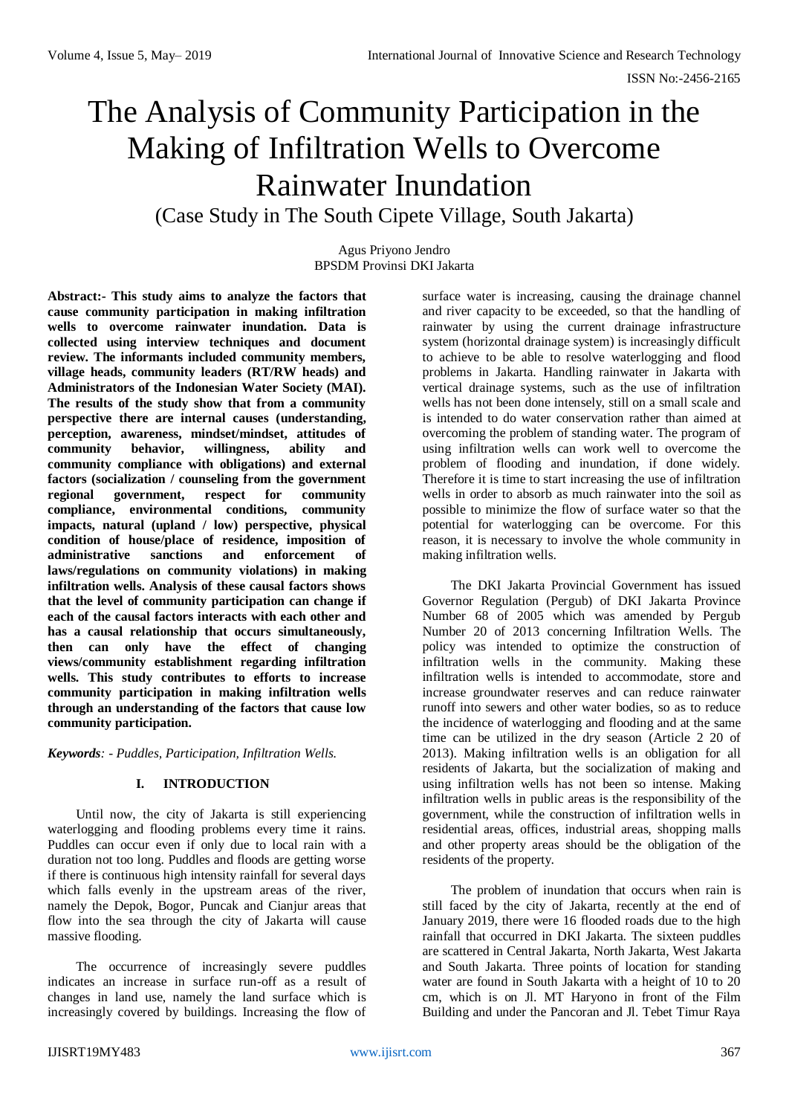# The Analysis of Community Participation in the Making of Infiltration Wells to Overcome Rainwater Inundation (Case Study in The South Cipete Village, South Jakarta)

Agus Priyono Jendro BPSDM Provinsi DKI Jakarta

**Abstract:- This study aims to analyze the factors that cause community participation in making infiltration wells to overcome rainwater inundation. Data is collected using interview techniques and document review. The informants included community members, village heads, community leaders (RT/RW heads) and Administrators of the Indonesian Water Society (MAI). The results of the study show that from a community perspective there are internal causes (understanding, perception, awareness, mindset/mindset, attitudes of community behavior, willingness, ability and community compliance with obligations) and external factors (socialization / counseling from the government regional government, respect for community compliance, environmental conditions, community impacts, natural (upland / low) perspective, physical condition of house/place of residence, imposition of administrative sanctions and enforcement of laws/regulations on community violations) in making infiltration wells. Analysis of these causal factors shows that the level of community participation can change if each of the causal factors interacts with each other and has a causal relationship that occurs simultaneously, then can only have the effect of changing views/community establishment regarding infiltration wells. This study contributes to efforts to increase community participation in making infiltration wells through an understanding of the factors that cause low community participation.**

*Keywords: - Puddles, Participation, Infiltration Wells.*

## **I. INTRODUCTION**

Until now, the city of Jakarta is still experiencing waterlogging and flooding problems every time it rains. Puddles can occur even if only due to local rain with a duration not too long. Puddles and floods are getting worse if there is continuous high intensity rainfall for several days which falls evenly in the upstream areas of the river, namely the Depok, Bogor, Puncak and Cianjur areas that flow into the sea through the city of Jakarta will cause massive flooding.

The occurrence of increasingly severe puddles indicates an increase in surface run-off as a result of changes in land use, namely the land surface which is increasingly covered by buildings. Increasing the flow of

surface water is increasing, causing the drainage channel and river capacity to be exceeded, so that the handling of rainwater by using the current drainage infrastructure system (horizontal drainage system) is increasingly difficult to achieve to be able to resolve waterlogging and flood problems in Jakarta. Handling rainwater in Jakarta with vertical drainage systems, such as the use of infiltration wells has not been done intensely, still on a small scale and is intended to do water conservation rather than aimed at overcoming the problem of standing water. The program of using infiltration wells can work well to overcome the problem of flooding and inundation, if done widely. Therefore it is time to start increasing the use of infiltration wells in order to absorb as much rainwater into the soil as possible to minimize the flow of surface water so that the potential for waterlogging can be overcome. For this reason, it is necessary to involve the whole community in making infiltration wells.

The DKI Jakarta Provincial Government has issued Governor Regulation (Pergub) of DKI Jakarta Province Number 68 of 2005 which was amended by Pergub Number 20 of 2013 concerning Infiltration Wells. The policy was intended to optimize the construction of infiltration wells in the community. Making these infiltration wells is intended to accommodate, store and increase groundwater reserves and can reduce rainwater runoff into sewers and other water bodies, so as to reduce the incidence of waterlogging and flooding and at the same time can be utilized in the dry season (Article 2 20 of 2013). Making infiltration wells is an obligation for all residents of Jakarta, but the socialization of making and using infiltration wells has not been so intense. Making infiltration wells in public areas is the responsibility of the government, while the construction of infiltration wells in residential areas, offices, industrial areas, shopping malls and other property areas should be the obligation of the residents of the property.

The problem of inundation that occurs when rain is still faced by the city of Jakarta, recently at the end of January 2019, there were 16 flooded roads due to the high rainfall that occurred in DKI Jakarta. The sixteen puddles are scattered in Central Jakarta, North Jakarta, West Jakarta and South Jakarta. Three points of location for standing water are found in South Jakarta with a height of 10 to 20 cm, which is on Jl. MT Haryono in front of the Film Building and under the Pancoran and Jl. Tebet Timur Raya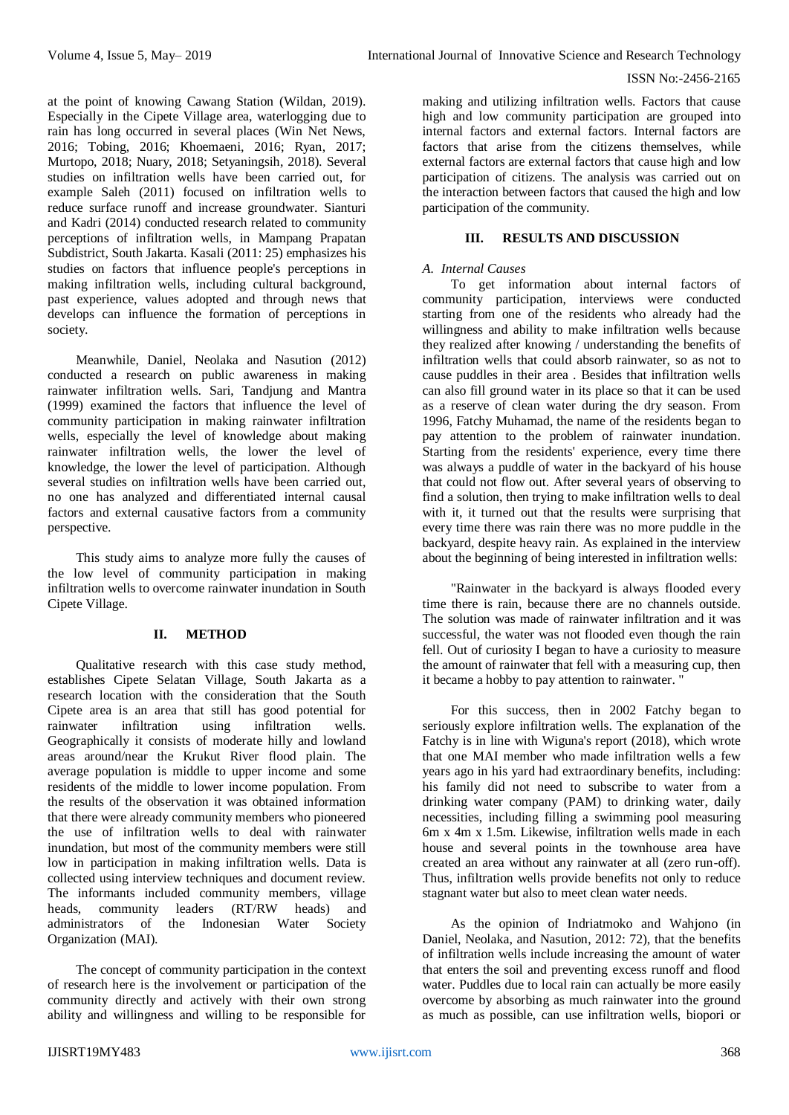#### ISSN No:-2456-2165

at the point of knowing Cawang Station (Wildan, 2019). Especially in the Cipete Village area, waterlogging due to rain has long occurred in several places (Win Net News, 2016; Tobing, 2016; Khoemaeni, 2016; Ryan, 2017; Murtopo, 2018; Nuary, 2018; Setyaningsih, 2018). Several studies on infiltration wells have been carried out, for example Saleh (2011) focused on infiltration wells to reduce surface runoff and increase groundwater. Sianturi and Kadri (2014) conducted research related to community perceptions of infiltration wells, in Mampang Prapatan Subdistrict, South Jakarta. Kasali (2011: 25) emphasizes his studies on factors that influence people's perceptions in making infiltration wells, including cultural background, past experience, values adopted and through news that develops can influence the formation of perceptions in society.

Meanwhile, Daniel, Neolaka and Nasution (2012) conducted a research on public awareness in making rainwater infiltration wells. Sari, Tandjung and Mantra (1999) examined the factors that influence the level of community participation in making rainwater infiltration wells, especially the level of knowledge about making rainwater infiltration wells, the lower the level of knowledge, the lower the level of participation. Although several studies on infiltration wells have been carried out, no one has analyzed and differentiated internal causal factors and external causative factors from a community perspective.

This study aims to analyze more fully the causes of the low level of community participation in making infiltration wells to overcome rainwater inundation in South Cipete Village.

## **II. METHOD**

Qualitative research with this case study method, establishes Cipete Selatan Village, South Jakarta as a research location with the consideration that the South Cipete area is an area that still has good potential for rainwater infiltration using infiltration wells. Geographically it consists of moderate hilly and lowland areas around/near the Krukut River flood plain. The average population is middle to upper income and some residents of the middle to lower income population. From the results of the observation it was obtained information that there were already community members who pioneered the use of infiltration wells to deal with rainwater inundation, but most of the community members were still low in participation in making infiltration wells. Data is collected using interview techniques and document review. The informants included community members, village<br>heads, community leaders (RT/RW heads) and heads, community leaders (RT/RW heads) and administrators of the Indonesian Water Society Organization (MAI).

The concept of community participation in the context of research here is the involvement or participation of the community directly and actively with their own strong ability and willingness and willing to be responsible for

making and utilizing infiltration wells. Factors that cause high and low community participation are grouped into internal factors and external factors. Internal factors are factors that arise from the citizens themselves, while external factors are external factors that cause high and low participation of citizens. The analysis was carried out on the interaction between factors that caused the high and low participation of the community.

## **III. RESULTS AND DISCUSSION**

## *A. Internal Causes*

To get information about internal factors of community participation, interviews were conducted starting from one of the residents who already had the willingness and ability to make infiltration wells because they realized after knowing / understanding the benefits of infiltration wells that could absorb rainwater, so as not to cause puddles in their area . Besides that infiltration wells can also fill ground water in its place so that it can be used as a reserve of clean water during the dry season. From 1996, Fatchy Muhamad, the name of the residents began to pay attention to the problem of rainwater inundation. Starting from the residents' experience, every time there was always a puddle of water in the backyard of his house that could not flow out. After several years of observing to find a solution, then trying to make infiltration wells to deal with it, it turned out that the results were surprising that every time there was rain there was no more puddle in the backyard, despite heavy rain. As explained in the interview about the beginning of being interested in infiltration wells:

"Rainwater in the backyard is always flooded every time there is rain, because there are no channels outside. The solution was made of rainwater infiltration and it was successful, the water was not flooded even though the rain fell. Out of curiosity I began to have a curiosity to measure the amount of rainwater that fell with a measuring cup, then it became a hobby to pay attention to rainwater. "

For this success, then in 2002 Fatchy began to seriously explore infiltration wells. The explanation of the Fatchy is in line with Wiguna's report (2018), which wrote that one MAI member who made infiltration wells a few years ago in his yard had extraordinary benefits, including: his family did not need to subscribe to water from a drinking water company (PAM) to drinking water, daily necessities, including filling a swimming pool measuring 6m x 4m x 1.5m. Likewise, infiltration wells made in each house and several points in the townhouse area have created an area without any rainwater at all (zero run-off). Thus, infiltration wells provide benefits not only to reduce stagnant water but also to meet clean water needs.

As the opinion of Indriatmoko and Wahjono (in Daniel, Neolaka, and Nasution, 2012: 72), that the benefits of infiltration wells include increasing the amount of water that enters the soil and preventing excess runoff and flood water. Puddles due to local rain can actually be more easily overcome by absorbing as much rainwater into the ground as much as possible, can use infiltration wells, biopori or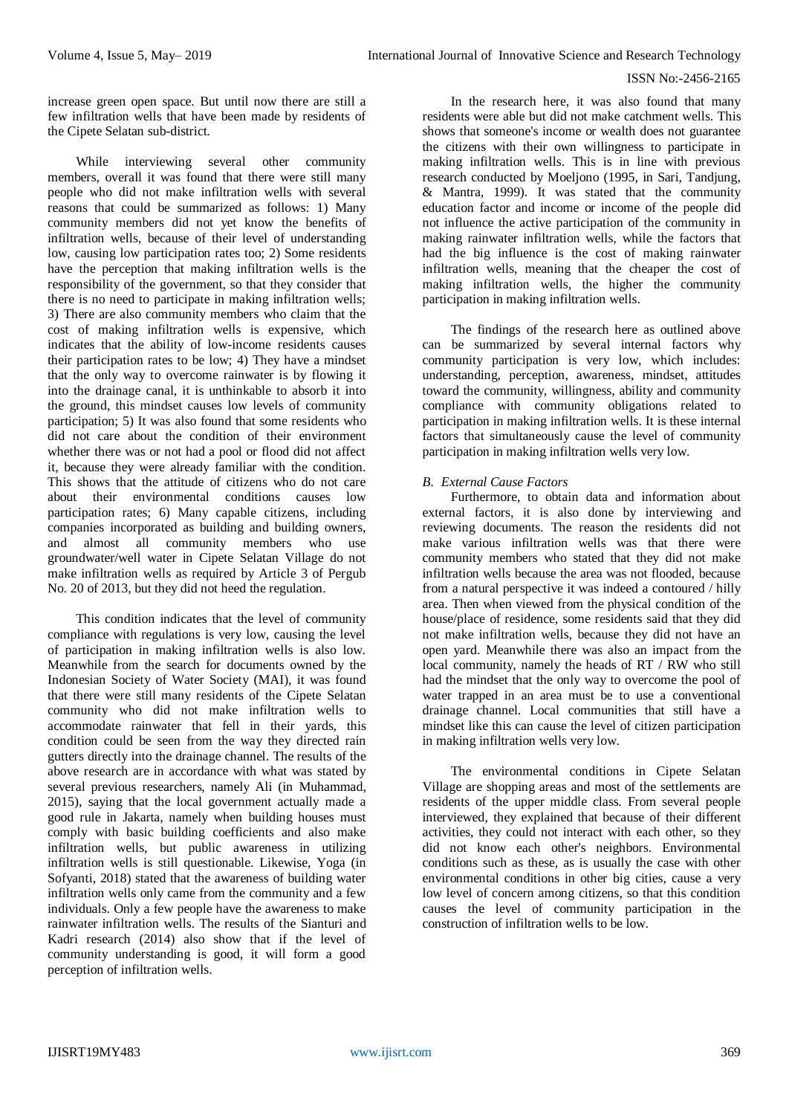#### ISSN No:-2456-2165

increase green open space. But until now there are still a few infiltration wells that have been made by residents of the Cipete Selatan sub-district.

While interviewing several other community members, overall it was found that there were still many people who did not make infiltration wells with several reasons that could be summarized as follows: 1) Many community members did not yet know the benefits of infiltration wells, because of their level of understanding low, causing low participation rates too; 2) Some residents have the perception that making infiltration wells is the responsibility of the government, so that they consider that there is no need to participate in making infiltration wells; 3) There are also community members who claim that the cost of making infiltration wells is expensive, which indicates that the ability of low-income residents causes their participation rates to be low; 4) They have a mindset that the only way to overcome rainwater is by flowing it into the drainage canal, it is unthinkable to absorb it into the ground, this mindset causes low levels of community participation; 5) It was also found that some residents who did not care about the condition of their environment whether there was or not had a pool or flood did not affect it, because they were already familiar with the condition. This shows that the attitude of citizens who do not care about their environmental conditions causes low participation rates; 6) Many capable citizens, including companies incorporated as building and building owners, and almost all community members who use groundwater/well water in Cipete Selatan Village do not make infiltration wells as required by Article 3 of Pergub No. 20 of 2013, but they did not heed the regulation.

This condition indicates that the level of community compliance with regulations is very low, causing the level of participation in making infiltration wells is also low. Meanwhile from the search for documents owned by the Indonesian Society of Water Society (MAI), it was found that there were still many residents of the Cipete Selatan community who did not make infiltration wells to accommodate rainwater that fell in their yards, this condition could be seen from the way they directed rain gutters directly into the drainage channel. The results of the above research are in accordance with what was stated by several previous researchers, namely Ali (in Muhammad, 2015), saying that the local government actually made a good rule in Jakarta, namely when building houses must comply with basic building coefficients and also make infiltration wells, but public awareness in utilizing infiltration wells is still questionable. Likewise, Yoga (in Sofyanti, 2018) stated that the awareness of building water infiltration wells only came from the community and a few individuals. Only a few people have the awareness to make rainwater infiltration wells. The results of the Sianturi and Kadri research (2014) also show that if the level of community understanding is good, it will form a good perception of infiltration wells.

In the research here, it was also found that many residents were able but did not make catchment wells. This shows that someone's income or wealth does not guarantee the citizens with their own willingness to participate in making infiltration wells. This is in line with previous research conducted by Moeljono (1995, in Sari, Tandjung, & Mantra, 1999). It was stated that the community education factor and income or income of the people did not influence the active participation of the community in making rainwater infiltration wells, while the factors that had the big influence is the cost of making rainwater infiltration wells, meaning that the cheaper the cost of making infiltration wells, the higher the community participation in making infiltration wells.

The findings of the research here as outlined above can be summarized by several internal factors why community participation is very low, which includes: understanding, perception, awareness, mindset, attitudes toward the community, willingness, ability and community compliance with community obligations related to participation in making infiltration wells. It is these internal factors that simultaneously cause the level of community participation in making infiltration wells very low.

## *B. External Cause Factors*

Furthermore, to obtain data and information about external factors, it is also done by interviewing and reviewing documents. The reason the residents did not make various infiltration wells was that there were community members who stated that they did not make infiltration wells because the area was not flooded, because from a natural perspective it was indeed a contoured / hilly area. Then when viewed from the physical condition of the house/place of residence, some residents said that they did not make infiltration wells, because they did not have an open yard. Meanwhile there was also an impact from the local community, namely the heads of RT / RW who still had the mindset that the only way to overcome the pool of water trapped in an area must be to use a conventional drainage channel. Local communities that still have a mindset like this can cause the level of citizen participation in making infiltration wells very low.

The environmental conditions in Cipete Selatan Village are shopping areas and most of the settlements are residents of the upper middle class. From several people interviewed, they explained that because of their different activities, they could not interact with each other, so they did not know each other's neighbors. Environmental conditions such as these, as is usually the case with other environmental conditions in other big cities, cause a very low level of concern among citizens, so that this condition causes the level of community participation in the construction of infiltration wells to be low.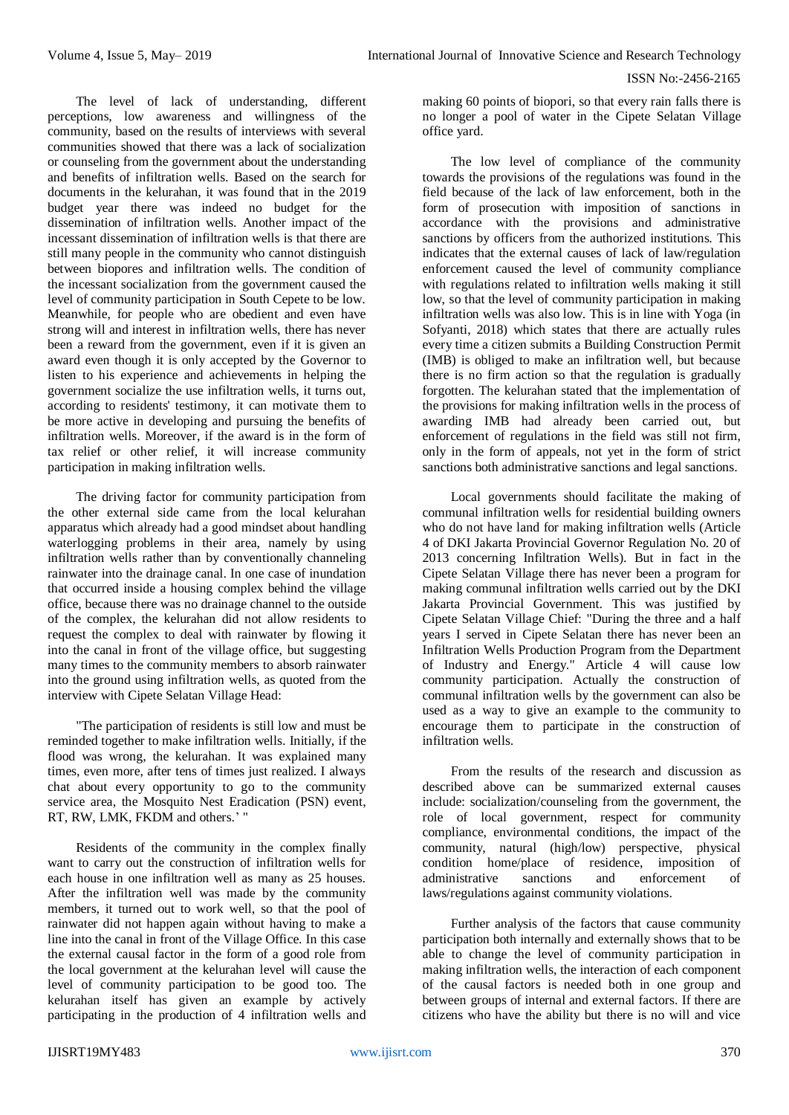The level of lack of understanding, different perceptions, low awareness and willingness of the community, based on the results of interviews with several communities showed that there was a lack of socialization or counseling from the government about the understanding and benefits of infiltration wells. Based on the search for documents in the kelurahan, it was found that in the 2019 budget year there was indeed no budget for the dissemination of infiltration wells. Another impact of the incessant dissemination of infiltration wells is that there are still many people in the community who cannot distinguish between biopores and infiltration wells. The condition of the incessant socialization from the government caused the level of community participation in South Cepete to be low. Meanwhile, for people who are obedient and even have strong will and interest in infiltration wells, there has never been a reward from the government, even if it is given an award even though it is only accepted by the Governor to listen to his experience and achievements in helping the government socialize the use infiltration wells, it turns out, according to residents' testimony, it can motivate them to be more active in developing and pursuing the benefits of infiltration wells. Moreover, if the award is in the form of tax relief or other relief, it will increase community participation in making infiltration wells.

The driving factor for community participation from the other external side came from the local kelurahan apparatus which already had a good mindset about handling waterlogging problems in their area, namely by using infiltration wells rather than by conventionally channeling rainwater into the drainage canal. In one case of inundation that occurred inside a housing complex behind the village office, because there was no drainage channel to the outside of the complex, the kelurahan did not allow residents to request the complex to deal with rainwater by flowing it into the canal in front of the village office, but suggesting many times to the community members to absorb rainwater into the ground using infiltration wells, as quoted from the interview with Cipete Selatan Village Head:

"The participation of residents is still low and must be reminded together to make infiltration wells. Initially, if the flood was wrong, the kelurahan. It was explained many times, even more, after tens of times just realized. I always chat about every opportunity to go to the community service area, the Mosquito Nest Eradication (PSN) event, RT, RW, LMK, FKDM and others.' "

Residents of the community in the complex finally want to carry out the construction of infiltration wells for each house in one infiltration well as many as 25 houses. After the infiltration well was made by the community members, it turned out to work well, so that the pool of rainwater did not happen again without having to make a line into the canal in front of the Village Office. In this case the external causal factor in the form of a good role from the local government at the kelurahan level will cause the level of community participation to be good too. The kelurahan itself has given an example by actively participating in the production of 4 infiltration wells and

making 60 points of biopori, so that every rain falls there is no longer a pool of water in the Cipete Selatan Village office yard.

The low level of compliance of the community towards the provisions of the regulations was found in the field because of the lack of law enforcement, both in the form of prosecution with imposition of sanctions in accordance with the provisions and administrative sanctions by officers from the authorized institutions. This indicates that the external causes of lack of law/regulation enforcement caused the level of community compliance with regulations related to infiltration wells making it still low, so that the level of community participation in making infiltration wells was also low. This is in line with Yoga (in Sofyanti, 2018) which states that there are actually rules every time a citizen submits a Building Construction Permit (IMB) is obliged to make an infiltration well, but because there is no firm action so that the regulation is gradually forgotten. The kelurahan stated that the implementation of the provisions for making infiltration wells in the process of awarding IMB had already been carried out, but enforcement of regulations in the field was still not firm, only in the form of appeals, not yet in the form of strict sanctions both administrative sanctions and legal sanctions.

Local governments should facilitate the making of communal infiltration wells for residential building owners who do not have land for making infiltration wells (Article 4 of DKI Jakarta Provincial Governor Regulation No. 20 of 2013 concerning Infiltration Wells). But in fact in the Cipete Selatan Village there has never been a program for making communal infiltration wells carried out by the DKI Jakarta Provincial Government. This was justified by Cipete Selatan Village Chief: "During the three and a half years I served in Cipete Selatan there has never been an Infiltration Wells Production Program from the Department of Industry and Energy." Article 4 will cause low community participation. Actually the construction of communal infiltration wells by the government can also be used as a way to give an example to the community to encourage them to participate in the construction of infiltration wells.

From the results of the research and discussion as described above can be summarized external causes include: socialization/counseling from the government, the role of local government, respect for community compliance, environmental conditions, the impact of the community, natural (high/low) perspective, physical condition home/place of residence, imposition of administrative sanctions and enforcement of laws/regulations against community violations.

Further analysis of the factors that cause community participation both internally and externally shows that to be able to change the level of community participation in making infiltration wells, the interaction of each component of the causal factors is needed both in one group and between groups of internal and external factors. If there are citizens who have the ability but there is no will and vice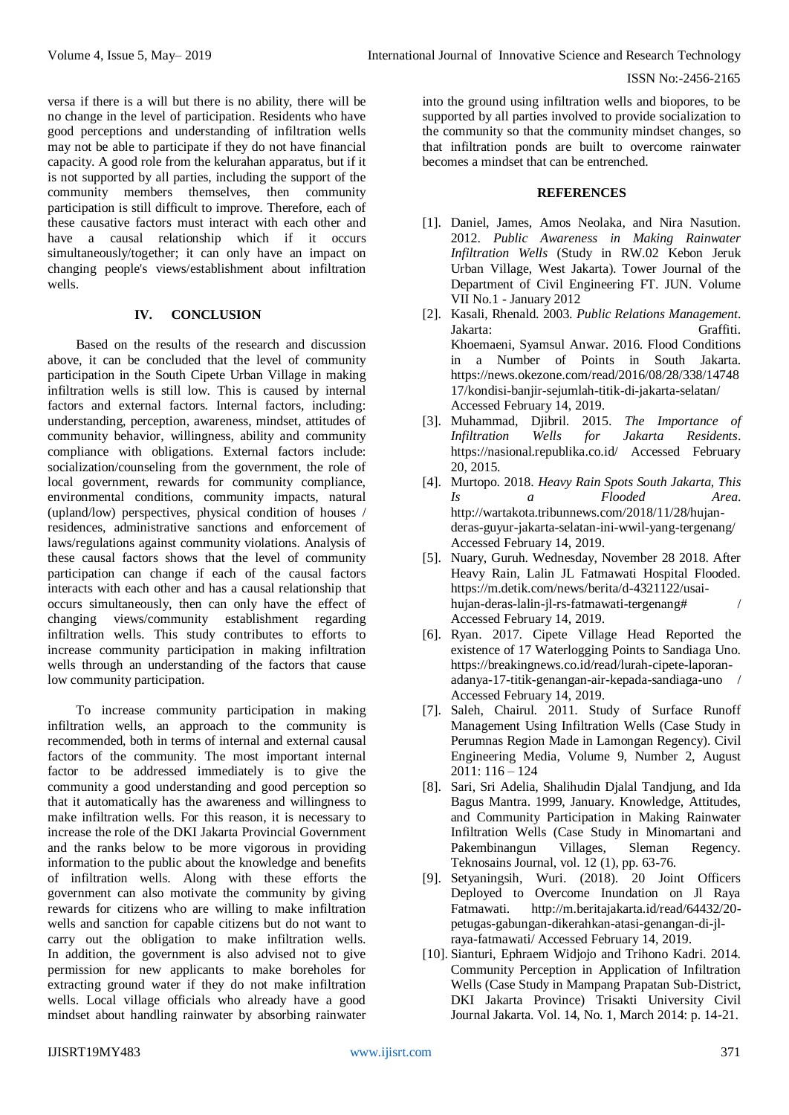versa if there is a will but there is no ability, there will be no change in the level of participation. Residents who have good perceptions and understanding of infiltration wells may not be able to participate if they do not have financial capacity. A good role from the kelurahan apparatus, but if it is not supported by all parties, including the support of the community members themselves, then community participation is still difficult to improve. Therefore, each of these causative factors must interact with each other and have a causal relationship which if it occurs simultaneously/together; it can only have an impact on changing people's views/establishment about infiltration wells.

# **IV. CONCLUSION**

Based on the results of the research and discussion above, it can be concluded that the level of community participation in the South Cipete Urban Village in making infiltration wells is still low. This is caused by internal factors and external factors. Internal factors, including: understanding, perception, awareness, mindset, attitudes of community behavior, willingness, ability and community compliance with obligations. External factors include: socialization/counseling from the government, the role of local government, rewards for community compliance, environmental conditions, community impacts, natural (upland/low) perspectives, physical condition of houses / residences, administrative sanctions and enforcement of laws/regulations against community violations. Analysis of these causal factors shows that the level of community participation can change if each of the causal factors interacts with each other and has a causal relationship that occurs simultaneously, then can only have the effect of changing views/community establishment regarding infiltration wells. This study contributes to efforts to increase community participation in making infiltration wells through an understanding of the factors that cause low community participation.

To increase community participation in making infiltration wells, an approach to the community is recommended, both in terms of internal and external causal factors of the community. The most important internal factor to be addressed immediately is to give the community a good understanding and good perception so that it automatically has the awareness and willingness to make infiltration wells. For this reason, it is necessary to increase the role of the DKI Jakarta Provincial Government and the ranks below to be more vigorous in providing information to the public about the knowledge and benefits of infiltration wells. Along with these efforts the government can also motivate the community by giving rewards for citizens who are willing to make infiltration wells and sanction for capable citizens but do not want to carry out the obligation to make infiltration wells. In addition, the government is also advised not to give permission for new applicants to make boreholes for extracting ground water if they do not make infiltration wells. Local village officials who already have a good mindset about handling rainwater by absorbing rainwater into the ground using infiltration wells and biopores, to be supported by all parties involved to provide socialization to the community so that the community mindset changes, so that infiltration ponds are built to overcome rainwater becomes a mindset that can be entrenched.

#### **REFERENCES**

- [1]. Daniel, James, Amos Neolaka, and Nira Nasution. 2012. *Public Awareness in Making Rainwater Infiltration Wells* (Study in RW.02 Kebon Jeruk Urban Village, West Jakarta). Tower Journal of the Department of Civil Engineering FT. JUN. Volume VII No.1 - January 2012
- [2]. Kasali, Rhenald. 2003. *Public Relations Management*. Jakarta: Graffiti. Khoemaeni, Syamsul Anwar. 2016. Flood Conditions in a Number of Points in South Jakarta. https://news.okezone.com/read/2016/08/28/338/14748 17/kondisi-banjir-sejumlah-titik-di-jakarta-selatan/ Accessed February 14, 2019.
- [3]. Muhammad, Djibril. 2015. *The Importance of Infiltration Wells for Jakarta Residents*. https://nasional.republika.co.id/ Accessed February 20, 2015.
- [4]. Murtopo. 2018. *Heavy Rain Spots South Jakarta, This Is a Flooded Area*. http://wartakota.tribunnews.com/2018/11/28/hujanderas-guyur-jakarta-selatan-ini-wwil-yang-tergenang/ Accessed February 14, 2019.
- [5]. Nuary, Guruh. Wednesday, November 28 2018. After Heavy Rain, Lalin JL Fatmawati Hospital Flooded. https://m.detik.com/news/berita/d-4321122/usaihujan-deras-lalin-jl-rs-fatmawati-tergenang# / Accessed February 14, 2019.
- [6]. Ryan. 2017. Cipete Village Head Reported the existence of 17 Waterlogging Points to Sandiaga Uno. https://breakingnews.co.id/read/lurah-cipete-laporanadanya-17-titik-genangan-air-kepada-sandiaga-uno / Accessed February 14, 2019.
- [7]. Saleh, Chairul. 2011. Study of Surface Runoff Management Using Infiltration Wells (Case Study in Perumnas Region Made in Lamongan Regency). Civil Engineering Media, Volume 9, Number 2, August 2011: 116 – 124
- [8]. Sari, Sri Adelia, Shalihudin Djalal Tandjung, and Ida Bagus Mantra. 1999, January. Knowledge, Attitudes, and Community Participation in Making Rainwater Infiltration Wells (Case Study in Minomartani and Pakembinangun Villages, Sleman Regency. Teknosains Journal, vol. 12 (1), pp. 63-76.
- [9]. Setyaningsih, Wuri. (2018). 20 Joint Officers Deployed to Overcome Inundation on Jl Raya Fatmawati. http://m.beritajakarta.id/read/64432/20 petugas-gabungan-dikerahkan-atasi-genangan-di-jlraya-fatmawati/ Accessed February 14, 2019.
- [10]. Sianturi, Ephraem Widjojo and Trihono Kadri. 2014. Community Perception in Application of Infiltration Wells (Case Study in Mampang Prapatan Sub-District, DKI Jakarta Province) Trisakti University Civil Journal Jakarta. Vol. 14, No. 1, March 2014: p. 14-21.